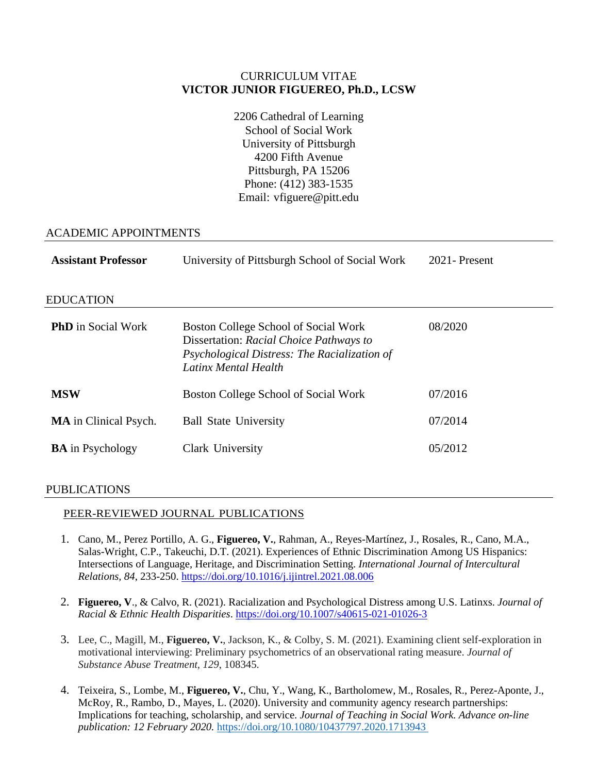## CURRICULUM VITAE **VICTOR JUNIOR FIGUEREO, Ph.D., LCSW**

2206 Cathedral of Learning School of Social Work University of Pittsburgh 4200 Fifth Avenue Pittsburgh, PA 15206 Phone: (412) 383-1535 Email: vfiguere@pitt.edu

## ACADEMIC APPOINTMENTS

| <b>Assistant Professor</b>   | University of Pittsburgh School of Social Work                                                                                                          | $2021 -$ Present |
|------------------------------|---------------------------------------------------------------------------------------------------------------------------------------------------------|------------------|
| <b>EDUCATION</b>             |                                                                                                                                                         |                  |
| <b>PhD</b> in Social Work    | Boston College School of Social Work<br>Dissertation: Racial Choice Pathways to<br>Psychological Distress: The Racialization of<br>Latinx Mental Health | 08/2020          |
| <b>MSW</b>                   | Boston College School of Social Work                                                                                                                    | 07/2016          |
| <b>MA</b> in Clinical Psych. | <b>Ball State University</b>                                                                                                                            | 07/2014          |
| <b>BA</b> in Psychology      | Clark University                                                                                                                                        | 05/2012          |

### PUBLICATIONS

### PEER-REVIEWED JOURNAL PUBLICATIONS

- 1. Cano, M., Perez Portillo, A. G., **Figuereo, V.**, Rahman, A., Reyes-Martínez, J., Rosales, R., Cano, M.A., Salas-Wright, C.P., Takeuchi, D.T. (2021). Experiences of Ethnic Discrimination Among US Hispanics: Intersections of Language, Heritage, and Discrimination Setting. *International Journal of Intercultural Relations, 84*, 233-250[. https://doi.org/10.1016/j.ijintrel.2021.08.006](https://doi.org/10.1016/j.ijintrel.2021.08.006)
- 2. **Figuereo, V**., & Calvo, R. (2021). Racialization and Psychological Distress among U.S. Latinxs. *Journal of Racial & Ethnic Health Disparities*.<https://doi.org/10.1007/s40615-021-01026-3>
- 3. Lee, C., Magill, M., **Figuereo, V.**, Jackson, K., & Colby, S. M. (2021). Examining client self-exploration in motivational interviewing: Preliminary psychometrics of an observational rating measure. *Journal of Substance Abuse Treatment, 129*, 108345.
- 4. Teixeira, S., Lombe, M., **Figuereo, V.**, Chu, Y., Wang, K., Bartholomew, M., Rosales, R., Perez-Aponte, J., McRoy, R., Rambo, D., Mayes, L. (2020). University and community agency research partnerships: Implications for teaching, scholarship, and service. *Journal of Teaching in Social Work. Advance on-line publication: 12 February 2020.* <https://doi.org/10.1080/10437797.2020.1713943>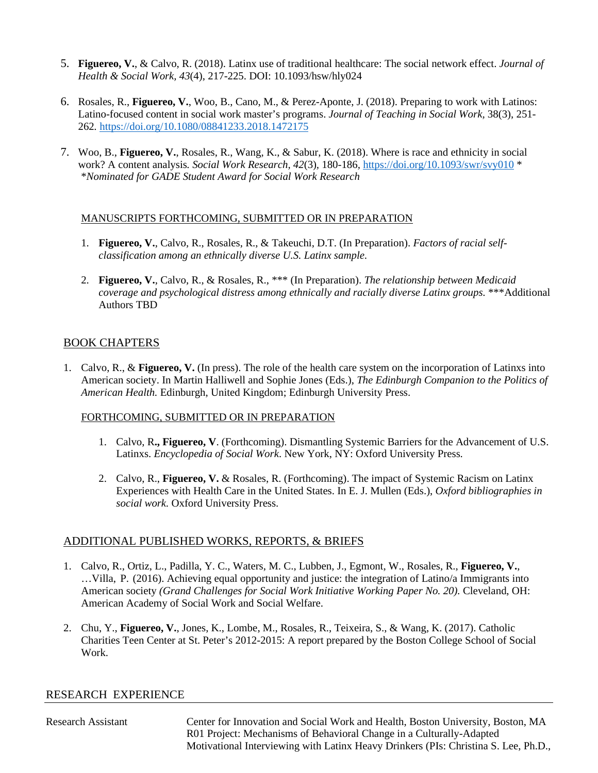- 5. **Figuereo, V.**, & Calvo, R. (2018). Latinx use of traditional healthcare: The social network effect. *Journal of Health & Social Work, 43*(4), 217-225. DOI: 10.1093/hsw/hly024
- 6. Rosales, R., **Figuereo, V.**, Woo, B., Cano, M., & Perez-Aponte, J. (2018). Preparing to work with Latinos: Latino-focused content in social work master's programs. *Journal of Teaching in Social Work,* 38(3), 251- 262*.* <https://doi.org/10.1080/08841233.2018.1472175>
- 7. Woo, B., **Figuereo, V.**, Rosales, R., Wang, K., & Sabur, K. (2018). Where is race and ethnicity in social work? A content analysis*. Social Work Research, 42*(3)*,* 180-186*,* <https://doi.org/10.1093/swr/svy010> \* \**Nominated for GADE Student Award for Social Work Research*

### MANUSCRIPTS FORTHCOMING, SUBMITTED OR IN PREPARATION

- 1. **Figuereo, V.**, Calvo, R., Rosales, R., & Takeuchi, D.T. (In Preparation). *Factors of racial selfclassification among an ethnically diverse U.S. Latinx sample.*
- 2. **Figuereo, V.**, Calvo, R., & Rosales, R., \*\*\* (In Preparation). *The relationship between Medicaid coverage and psychological distress among ethnically and racially diverse Latinx groups.* \*\*\*Additional Authors TBD

## BOOK CHAPTERS

1. Calvo, R., & **Figuereo, V.** (In press). The role of the health care system on the incorporation of Latinxs into American society. In Martin Halliwell and Sophie Jones (Eds.), *The Edinburgh Companion to the Politics of American Health.* Edinburgh, United Kingdom; Edinburgh University Press.

### FORTHCOMING, SUBMITTED OR IN PREPARATION

- 1. Calvo, R**., Figuereo, V**. (Forthcoming). Dismantling Systemic Barriers for the Advancement of U.S. Latinxs. *Encyclopedia of Social Work*. New York, NY: Oxford University Press.
- 2. Calvo, R., **Figuereo, V.** & Rosales, R. (Forthcoming). The impact of Systemic Racism on Latinx Experiences with Health Care in the United States. In E. J. Mullen (Eds.), *Oxford bibliographies in social work.* Oxford University Press.

## ADDITIONAL PUBLISHED WORKS, REPORTS, & BRIEFS

- 1. Calvo, R., Ortiz, L., Padilla, Y. C., Waters, M. C., Lubben, J., Egmont, W., Rosales, R., **Figuereo, V.**, …Villa, P. (2016). Achieving equal opportunity and justice: the integration of Latino/a Immigrants into American society *(Grand Challenges for Social Work Initiative Working Paper No. 20).* Cleveland, OH: American Academy of Social Work and Social Welfare.
- 2. Chu, Y., **Figuereo, V.**, Jones, K., Lombe, M., Rosales, R., Teixeira, S., & Wang, K. (2017). Catholic Charities Teen Center at St. Peter's 2012-2015: A report prepared by the Boston College School of Social Work.

## RESEARCH EXPERIENCE

Research Assistant Center for Innovation and Social Work and Health, Boston University, Boston, MA R01 Project: Mechanisms of Behavioral Change in a Culturally-Adapted Motivational Interviewing with Latinx Heavy Drinkers (PIs: Christina S. Lee, Ph.D.,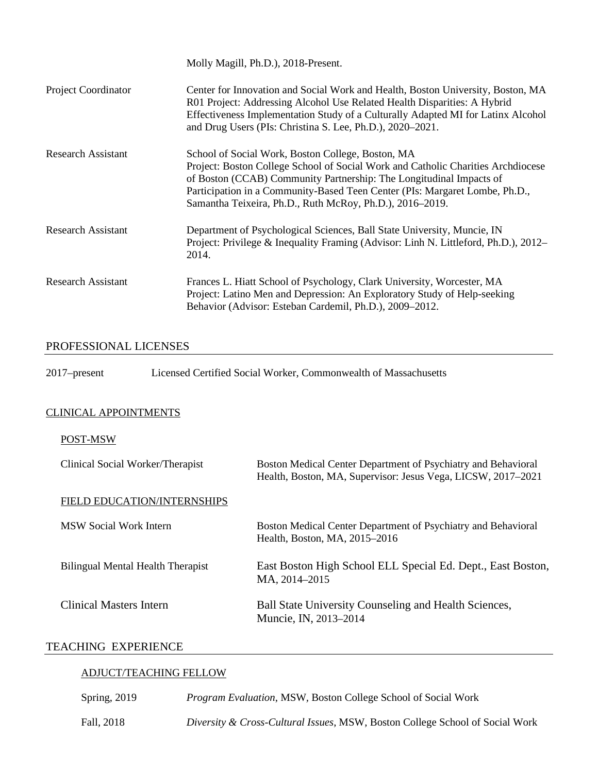|                            | Molly Magill, Ph.D.), 2018-Present.                                                                                                                                                                                                                                                                                                                     |
|----------------------------|---------------------------------------------------------------------------------------------------------------------------------------------------------------------------------------------------------------------------------------------------------------------------------------------------------------------------------------------------------|
| <b>Project Coordinator</b> | Center for Innovation and Social Work and Health, Boston University, Boston, MA<br>R01 Project: Addressing Alcohol Use Related Health Disparities: A Hybrid<br>Effectiveness Implementation Study of a Culturally Adapted MI for Latinx Alcohol<br>and Drug Users (PIs: Christina S. Lee, Ph.D.), 2020–2021.                                            |
| Research Assistant         | School of Social Work, Boston College, Boston, MA<br>Project: Boston College School of Social Work and Catholic Charities Archdiocese<br>of Boston (CCAB) Community Partnership: The Longitudinal Impacts of<br>Participation in a Community-Based Teen Center (PIs: Margaret Lombe, Ph.D.,<br>Samantha Teixeira, Ph.D., Ruth McRoy, Ph.D.), 2016–2019. |
| <b>Research Assistant</b>  | Department of Psychological Sciences, Ball State University, Muncie, IN<br>Project: Privilege & Inequality Framing (Advisor: Linh N. Littleford, Ph.D.), 2012–<br>2014.                                                                                                                                                                                 |
| Research Assistant         | Frances L. Hiatt School of Psychology, Clark University, Worcester, MA<br>Project: Latino Men and Depression: An Exploratory Study of Help-seeking<br>Behavior (Advisor: Esteban Cardemil, Ph.D.), 2009–2012.                                                                                                                                           |

# PROFESSIONAL LICENSES

| $2017$ -present | Licensed Certified Social Worker, Commonwealth of Massachusetts |
|-----------------|-----------------------------------------------------------------|
|-----------------|-----------------------------------------------------------------|

# CLINICAL APPOINTMENTS

### POST-MSW

| Clinical Social Worker/Therapist   | Boston Medical Center Department of Psychiatry and Behavioral<br>Health, Boston, MA, Supervisor: Jesus Vega, LICSW, 2017-2021 |
|------------------------------------|-------------------------------------------------------------------------------------------------------------------------------|
| <b>FIELD EDUCATION/INTERNSHIPS</b> |                                                                                                                               |
| MSW Social Work Intern             | Boston Medical Center Department of Psychiatry and Behavioral<br>Health, Boston, MA, 2015–2016                                |
| Bilingual Mental Health Therapist  | East Boston High School ELL Special Ed. Dept., East Boston,<br>MA, 2014-2015                                                  |
| <b>Clinical Masters Intern</b>     | Ball State University Counseling and Health Sciences,<br>Muncie, IN, 2013–2014                                                |

# TEACHING EXPERIENCE

# ADJUCT/TEACHING FELLOW

| Spring, 2019 | <i>Program Evaluation, MSW, Boston College School of Social Work</i>         |
|--------------|------------------------------------------------------------------------------|
| Fall, 2018   | Diversity & Cross-Cultural Issues, MSW, Boston College School of Social Work |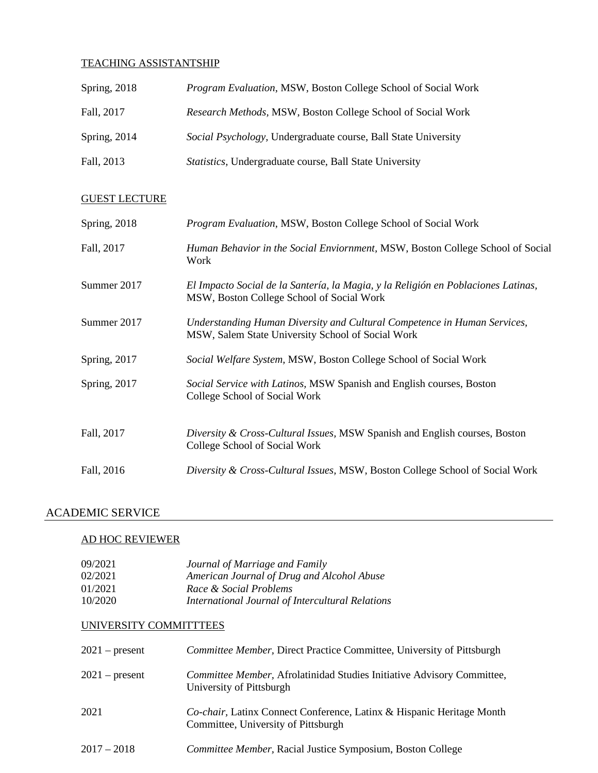#### TEACHING ASSISTANTSHIP

| Spring, 2018 | Program Evaluation, MSW, Boston College School of Social Work   |
|--------------|-----------------------------------------------------------------|
| Fall, 2017   | Research Methods, MSW, Boston College School of Social Work     |
| Spring, 2014 | Social Psychology, Undergraduate course, Ball State University  |
| Fall, 2013   | <i>Statistics</i> , Undergraduate course, Ball State University |

## GUEST LECTURE

| <b>Spring</b> , 2018 | Program Evaluation, MSW, Boston College School of Social Work                                                                  |
|----------------------|--------------------------------------------------------------------------------------------------------------------------------|
| Fall, 2017           | Human Behavior in the Social Enviornment, MSW, Boston College School of Social<br>Work                                         |
| Summer 2017          | El Impacto Social de la Santería, la Magia, y la Religión en Poblaciones Latinas,<br>MSW, Boston College School of Social Work |
| Summer 2017          | Understanding Human Diversity and Cultural Competence in Human Services,<br>MSW, Salem State University School of Social Work  |
| Spring, 2017         | Social Welfare System, MSW, Boston College School of Social Work                                                               |
| Spring, 2017         | Social Service with Latinos, MSW Spanish and English courses, Boston<br>College School of Social Work                          |
| Fall, 2017           | Diversity & Cross-Cultural Issues, MSW Spanish and English courses, Boston<br>College School of Social Work                    |
| Fall, 2016           | Diversity & Cross-Cultural Issues, MSW, Boston College School of Social Work                                                   |

# ACADEMIC SERVICE

### AD HOC REVIEWER

| 09/2021 | Journal of Marriage and Family                   |
|---------|--------------------------------------------------|
| 02/2021 | American Journal of Drug and Alcohol Abuse       |
| 01/2021 | Race & Social Problems                           |
| 10/2020 | International Journal of Intercultural Relations |

## UNIVERSITY COMMITTTEES

| $2021$ – present | Committee Member, Direct Practice Committee, University of Pittsburgh                                        |
|------------------|--------------------------------------------------------------------------------------------------------------|
| $2021$ – present | Committee Member, Afrolatinidad Studies Initiative Advisory Committee,<br>University of Pittsburgh           |
| 2021             | Co-chair, Latinx Connect Conference, Latinx & Hispanic Heritage Month<br>Committee, University of Pittsburgh |
| $2017 - 2018$    | Committee Member, Racial Justice Symposium, Boston College                                                   |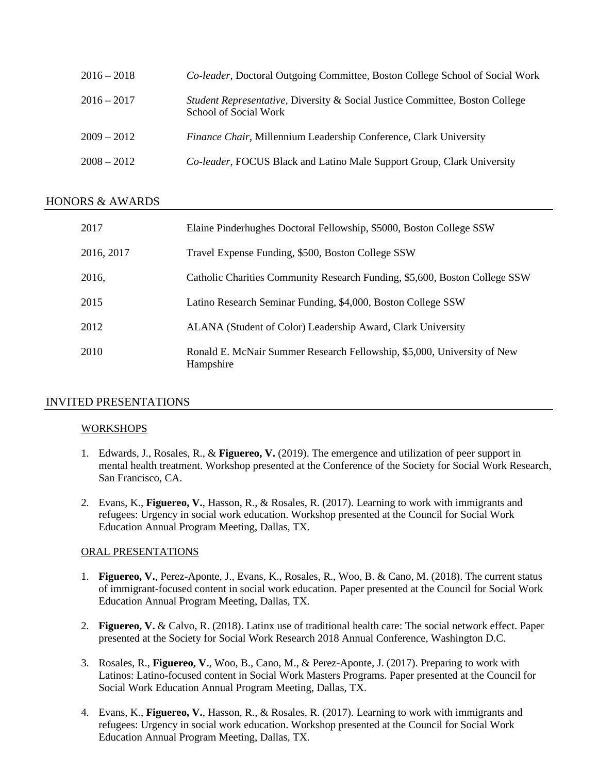| $2016 - 2018$ | Co-leader, Doctoral Outgoing Committee, Boston College School of Social Work                                     |
|---------------|------------------------------------------------------------------------------------------------------------------|
| $2016 - 2017$ | <i>Student Representative, Diversity &amp; Social Justice Committee, Boston College</i><br>School of Social Work |
| $2009 - 2012$ | Finance Chair, Millennium Leadership Conference, Clark University                                                |
| $2008 - 2012$ | Co-leader, FOCUS Black and Latino Male Support Group, Clark University                                           |

## HONORS & AWARDS

| 2017       | Elaine Pinderhughes Doctoral Fellowship, \$5000, Boston College SSW                  |
|------------|--------------------------------------------------------------------------------------|
| 2016, 2017 | Travel Expense Funding, \$500, Boston College SSW                                    |
| 2016,      | Catholic Charities Community Research Funding, \$5,600, Boston College SSW           |
| 2015       | Latino Research Seminar Funding, \$4,000, Boston College SSW                         |
| 2012       | ALANA (Student of Color) Leadership Award, Clark University                          |
| 2010       | Ronald E. McNair Summer Research Fellowship, \$5,000, University of New<br>Hampshire |

## INVITED PRESENTATIONS

### **WORKSHOPS**

- 1. Edwards, J., Rosales, R., & **Figuereo, V.** (2019). The emergence and utilization of peer support in mental health treatment. Workshop presented at the Conference of the Society for Social Work Research, San Francisco, CA.
- 2. Evans, K., **Figuereo, V.**, Hasson, R., & Rosales, R. (2017). Learning to work with immigrants and refugees: Urgency in social work education. Workshop presented at the Council for Social Work Education Annual Program Meeting, Dallas, TX.

### ORAL PRESENTATIONS

- 1. **Figuereo, V.**, Perez-Aponte, J., Evans, K., Rosales, R., Woo, B. & Cano, M. (2018). The current status of immigrant-focused content in social work education. Paper presented at the Council for Social Work Education Annual Program Meeting, Dallas, TX.
- 2. **Figuereo, V.** & Calvo, R. (2018). Latinx use of traditional health care: The social network effect. Paper presented at the Society for Social Work Research 2018 Annual Conference, Washington D.C.
- 3. Rosales, R., **Figuereo, V.**, Woo, B., Cano, M., & Perez-Aponte, J. (2017). Preparing to work with Latinos: Latino-focused content in Social Work Masters Programs. Paper presented at the Council for Social Work Education Annual Program Meeting, Dallas, TX.
- 4. Evans, K., **Figuereo, V.**, Hasson, R., & Rosales, R. (2017). Learning to work with immigrants and refugees: Urgency in social work education. Workshop presented at the Council for Social Work Education Annual Program Meeting, Dallas, TX.